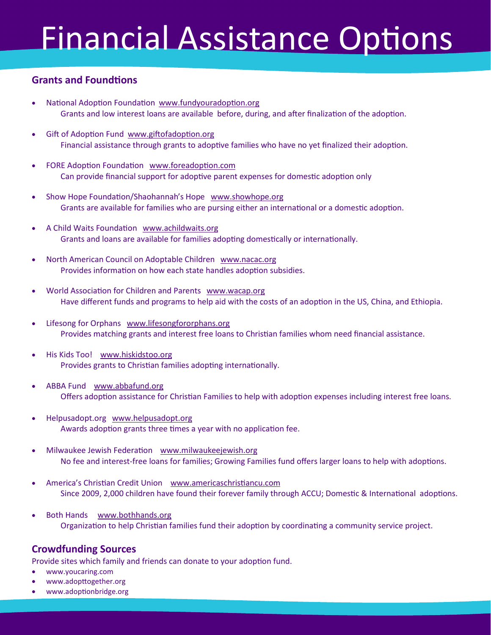# Financial Assistance Options

## **Grants and Foundtions**

- National Adoption Foundation www.fundyouradoption.org Grants and low interest loans are available before, during, and after finalization of the adoption.
- Gift of Adoption Fund www.giftofadoption.org Financial assistance through grants to adoptive families who have no yet finalized their adoption.
- FORE Adoption Foundation www.foreadoption.com Can provide financial support for adoptive parent expenses for domestic adoption only
- Show Hope Foundation/Shaohannah's Hope www.showhope.org Grants are available for families who are pursing either an international or a domestic adoption.
- A Child Waits Foundation www.achildwaits.org Grants and loans are available for families adopting domestically or internationally.
- North American Council on Adoptable Children www.nacac.org Provides information on how each state handles adoption subsidies.
- World Association for Children and Parents www.wacap.org Have different funds and programs to help aid with the costs of an adoption in the US, China, and Ethiopia.
- Lifesong for Orphans www.lifesongfororphans.org Provides matching grants and interest free loans to Christian families whom need financial assistance.
- His Kids Too! www.hiskidstoo.org Provides grants to Christian families adopting internationally.
- ABBA Fund www.abbafund.org Offers adoption assistance for Christian Families to help with adoption expenses including interest free loans.
- Helpusadopt.org www.helpusadopt.org Awards adoption grants three times a year with no application fee.
- Milwaukee Jewish Federation [www.milwaukeejewish.org](https://www.milwaukeejewish.org/) No fee and interest-free loans for families; Growing Families fund offers larger loans to help with adoptions.
- America's Christian Credit Union [www.americaschristiancu.com](https://www.americaschristiancu.com/) Since 2009, 2,000 children have found their forever family through ACCU; Domestic & International adoptions.
- Both Hands www.bothhands.org Organization to help Christian families fund their adoption by coordinating a community service project.

## **Crowdfunding Sources**

Provide sites which family and friends can donate to your adoption fund.

- www.youcaring.com
- www.adopttogether.org
- www.adoptionbridge.org